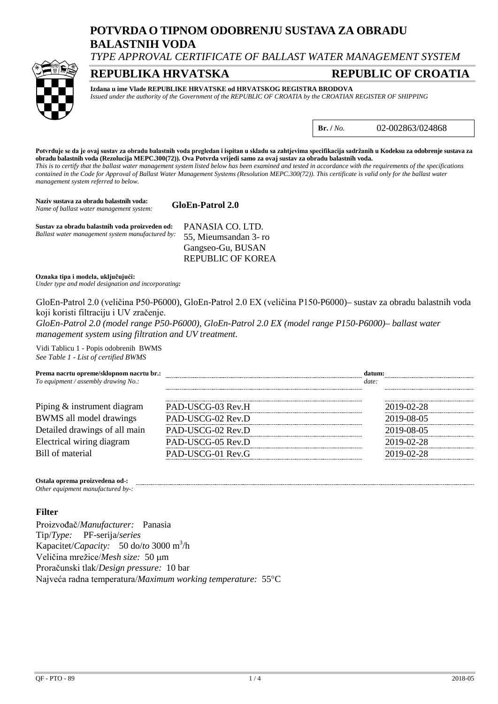# **POTVRDA O TIPNOM ODOBRENJU SUSTAVA ZA OBRADU BALASTNIH VODA**

*TYPE APPROVAL CERTIFICATE OF BALLAST WATER MANAGEMENT SYSTEM*

# **REPUBLIKA HRVATSKA REPUBLIC OF CROATIA**



**Izdana u ime Vlade REPUBLIKE HRVATSKE od HRVATSKOG REGISTRA BRODOVA**

*Issued under the authority of the Government of the REPUBLIC OF CROATIA by the CROATIAN REGISTER OF SHIPPING*

**Br. /** *No.* 02-002863/024868

**Potvrđuje se da je ovaj sustav za obradu balastnih voda pregledan i ispitan u skladu sa zahtjevima specifikacija sadržanih u Kodeksu za odobrenje sustava za obradu balastnih voda (Rezolucija MEPC.300(72)). Ova Potvrda vrijedi samo za ovaj sustav za obradu balastnih voda.** *This is to certify that the ballast water management system listed below has been examined and tested in accordance with the requirements of the specifications contained in the Code for Approval of Ballast Water Management Systems (Resolution MEPC.300(72)). This certificate is valid only for the ballast water management system referred to below.*

**Naziv sustava za obradu balastnih voda: GloEn-Patrol 2.0** *Name of ballast water management system:* **Sustav za obradu balastnih voda proizveden od:** PANASIA CO. LTD. *Ballast water management system manufactured by:*

55, Mieumsandan 3- ro Gangseo-Gu, BUSAN REPUBLIC OF KOREA

**Oznaka tipa i modela, uključujući:**

*Under type and model designation and incorporating:*

GloEn-Patrol 2.0 (veličina P50-P6000), GloEn-Patrol 2.0 EX (veličina P150-P6000)– sustav za obradu balastnih voda koji koristi filtraciju i UV zračenje.

*GloEn-Patrol 2.0 (model range P50-P6000), GloEn-Patrol 2.0 EX (model range P150-P6000)– ballast water management system using filtration and UV treatment.*

Vidi Tablicu 1 - Popis odobrenih BWMS *See Table 1 - List of certified BWMS*

| Prema nacrtu opreme/sklopnom nacrtu br.:<br>To equipment / assembly drawing $No.$ : |                   | date:      |  |
|-------------------------------------------------------------------------------------|-------------------|------------|--|
| Piping & instrument diagram                                                         | PAD-USCG-03 Rev.H | 2019-02-28 |  |
| BWMS all model drawings                                                             | PAD-USCG-02 Rev.D |            |  |
| Detailed drawings of all main                                                       | PAD-USCG-02 Rev.D |            |  |
| Electrical wiring diagram                                                           | PAD-USCG-05 Rev.D | 2019-02-28 |  |
| Bill of material                                                                    | PAD-USCG-01 Rev.G |            |  |

**Ostala oprema proizvedena od-:**

#### *Other equipment manufactured by-:*

### **Filter**

Proizvođač/*Manufacturer:* Panasia Tip/*Type:* PF-serija/*series* Kapacitet/*Capacity:* 50 do/*to* 3000 m3 /h Veličina mrežice/*Mesh size:* 50 µm Proračunski tlak/*Design pressure:* 10 bar Najveća radna temperatura/*Maximum working temperature:* 55°C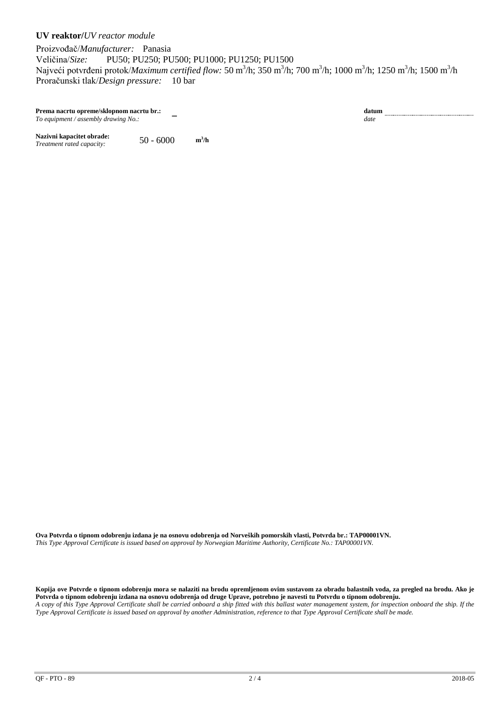## **UV reaktor/***UV reactor module*

Proizvođač/*Manufacturer:* Panasia<br>Veličina/*Size:* PU50; PU250; PU Veličina/*Size:* PU50; PU250; PU500; PU1000; PU1250; PU1500 Najveći potvrđeni protok/*Maximum certified flow: 5*0 m<sup>3</sup>/h; 350 m<sup>3</sup>/h; 700 m<sup>3</sup>/h; 1000 m<sup>3</sup>/h; 1250 m<sup>3</sup>/h; 1500 m<sup>3</sup>/h Proračunski tlak/*Design pressure:* 10 bar

**Prema nacrtu opreme/sklopnom nacrtu br.:** − **datum**<br> *To equipment / assembly drawing No.:* − **− date** date *To equipment / assembly drawing No.:* 

Nazivni kapacitet obrade:  $50 - 6000$  m<sup>3</sup>/h *Treatment rated capacity:* 

**Ova Potvrda o tipnom odobrenju izdana je na osnovu odobrenja od Norveških pomorskih vlasti, Potvrda br.: TAP00001VN.** *This Type Approval Certificate is issued based on approval by Norwegian Maritime Authority, Certificate No.: TAP00001VN.*

**Kopija ove Potvrde o tipnom odobrenju mora se nalaziti na brodu opremljenom ovim sustavom za obradu balastnih voda, za pregled na brodu. Ako je Potvrda o tipnom odobrenju izdana na osnovu odobrenja od druge Uprave, potrebno je navesti tu Potvrdu o tipnom odobrenju.** *A copy of this Type Approval Certificate shall be carried onboard a ship fitted with this ballast water management system, for inspection onboard the ship. If the Type Approval Certificate is issued based on approval by another Administration, reference to that Type Approval Certificate shall be made.*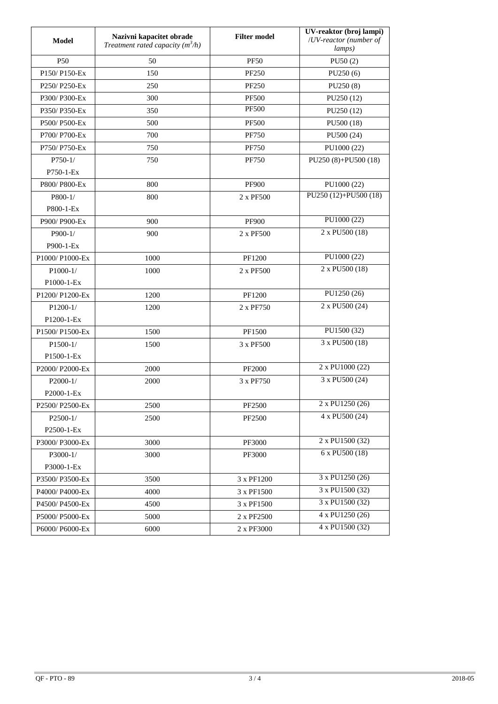| Model                                              | Nazivni kapacitet obrade<br>Treatment rated capacity $(m^3/h)$ | <b>Filter model</b> | UV-reaktor (broj lampi)<br>/UV-reactor (number of<br>lamps) |  |
|----------------------------------------------------|----------------------------------------------------------------|---------------------|-------------------------------------------------------------|--|
| P <sub>50</sub>                                    | 50                                                             | <b>PF50</b>         | PU50(2)                                                     |  |
| P150/P150-Ex                                       | 150                                                            | <b>PF250</b>        | PU250(6)                                                    |  |
| P <sub>250</sub> /P <sub>250</sub> -E <sub>x</sub> | 250                                                            | <b>PF250</b>        | PU250(8)                                                    |  |
| P300/P300-Ex                                       | 300                                                            | <b>PF500</b>        | PU250 (12)                                                  |  |
| P350/P350-Ex                                       | 350                                                            | <b>PF500</b>        | PU250 (12)                                                  |  |
| P500/P500-Ex                                       | 500                                                            | <b>PF500</b>        | PU500 (18)                                                  |  |
| P700/P700-Ex                                       | 700                                                            | <b>PF750</b>        | PU500 (24)                                                  |  |
| P750/P750-Ex                                       | 750                                                            | <b>PF750</b>        | PU1000 (22)                                                 |  |
| $P750-1/$                                          | 750                                                            | <b>PF750</b>        | $PU250(8)+PU500(18)$                                        |  |
| $P750-1-Ex$                                        |                                                                |                     |                                                             |  |
| P800/P800-Ex                                       | 800                                                            | <b>PF900</b>        | PU1000 (22)                                                 |  |
| $P800-1/$                                          | 800                                                            | 2 x PF500           | PU250 (12)+PU500 (18)                                       |  |
| P800-1-Ex                                          |                                                                |                     |                                                             |  |
| P900/P900-Ex                                       | 900                                                            | <b>PF900</b>        | PU1000(22)                                                  |  |
| $P900-1/$                                          | 900                                                            | 2 x PF500           | 2 x PU500 (18)                                              |  |
| P900-1-Ex                                          |                                                                |                     |                                                             |  |
| P1000/P1000-Ex                                     | 1000                                                           | PF1200              | PU1000 (22)                                                 |  |
| $P1000-1/$                                         | 1000                                                           | 2 x PF500           | 2 x PU500 (18)                                              |  |
| P1000-1-Ex                                         |                                                                |                     |                                                             |  |
| P1200/P1200-Ex                                     | 1200                                                           | PF1200              | PU1250 (26)                                                 |  |
| $P1200-1/$                                         | 1200                                                           | 2 x PF750           | 2 x PU500 (24)                                              |  |
| P1200-1-Ex                                         |                                                                |                     |                                                             |  |
| P1500/P1500-Ex                                     | 1500                                                           | PF1500              | PU1500 (32)                                                 |  |
| $P1500-1/$                                         | 1500                                                           | 3 x PF500           | 3 x PU500 (18)                                              |  |
| P1500-1-Ex                                         |                                                                |                     |                                                             |  |
| P2000/P2000-Ex                                     | 2000                                                           | <b>PF2000</b>       | 2 x PU1000 (22)                                             |  |
| $P2000-1/$                                         | 2000                                                           | 3 x PF750           | 3 x PU500 (24)                                              |  |
| P2000-1-Ex                                         |                                                                |                     |                                                             |  |
| P2500/P2500-Ex                                     | 2500                                                           | PF2500              | 2 x PU1250 (26)                                             |  |
| $P2500-1/$                                         | 2500                                                           | PF2500              | 4 x PU500 (24)                                              |  |
| P2500-1-Ex                                         |                                                                |                     |                                                             |  |
| P3000/P3000-Ex                                     | 3000                                                           | PF3000              | 2 x PU1500 (32)                                             |  |
| P3000-1/                                           | 3000                                                           | PF3000              | 6 x PU500 (18)                                              |  |
| P3000-1-Ex                                         |                                                                |                     |                                                             |  |
| P3500/P3500-Ex                                     | 3500                                                           | 3 x PF1200          | 3 x PU1250 (26)                                             |  |
| P4000/P4000-Ex                                     | 4000                                                           | 3 x PF1500          | 3 x PU1500 (32)                                             |  |
| P4500/P4500-Ex                                     | 4500                                                           | 3 x PF1500          | $\overline{3}$ x PU1500 (32)                                |  |
| P5000/P5000-Ex                                     | 5000                                                           | 2 x PF2500          | 4 x PU1250 (26)                                             |  |
| P6000/ P6000-Ex                                    | 6000                                                           | 2 x PF3000          | 4 x PU1500 (32)                                             |  |